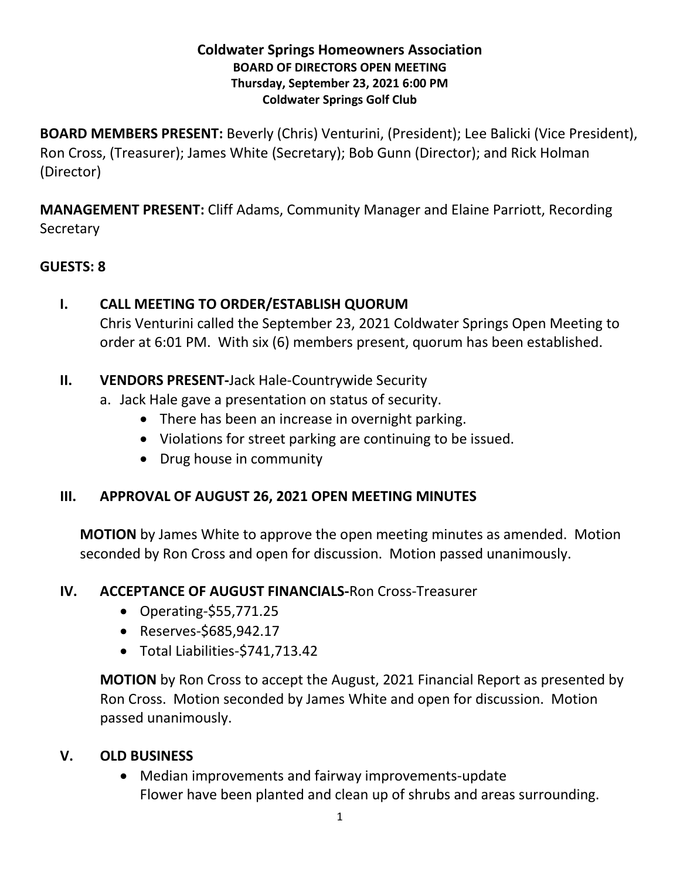#### **Coldwater Springs Homeowners Association BOARD OF DIRECTORS OPEN MEETING Thursday, September 23, 2021 6:00 PM Coldwater Springs Golf Club**

**BOARD MEMBERS PRESENT:** Beverly (Chris) Venturini, (President); Lee Balicki (Vice President), Ron Cross, (Treasurer); James White (Secretary); Bob Gunn (Director); and Rick Holman (Director)

**MANAGEMENT PRESENT:** Cliff Adams, Community Manager and Elaine Parriott, Recording **Secretary** 

## **GUESTS: 8**

## **I. CALL MEETING TO ORDER/ESTABLISH QUORUM**

Chris Venturini called the September 23, 2021 Coldwater Springs Open Meeting to order at 6:01 PM. With six (6) members present, quorum has been established.

## **II. VENDORS PRESENT-**Jack Hale-Countrywide Security

- a. Jack Hale gave a presentation on status of security.
	- There has been an increase in overnight parking.
	- Violations for street parking are continuing to be issued.
	- Drug house in community

# **III. APPROVAL OF AUGUST 26, 2021 OPEN MEETING MINUTES**

**MOTION** by James White to approve the open meeting minutes as amended. Motion seconded by Ron Cross and open for discussion. Motion passed unanimously.

#### **IV. ACCEPTANCE OF AUGUST FINANCIALS-**Ron Cross-Treasurer

- Operating*-*\$55,771.25
- Reserves-\$685,942.17
- Total Liabilities-\$741,713.42

**MOTION** by Ron Cross to accept the August, 2021 Financial Report as presented by Ron Cross. Motion seconded by James White and open for discussion. Motion passed unanimously.

# **V. OLD BUSINESS**

• Median improvements and fairway improvements-update Flower have been planted and clean up of shrubs and areas surrounding.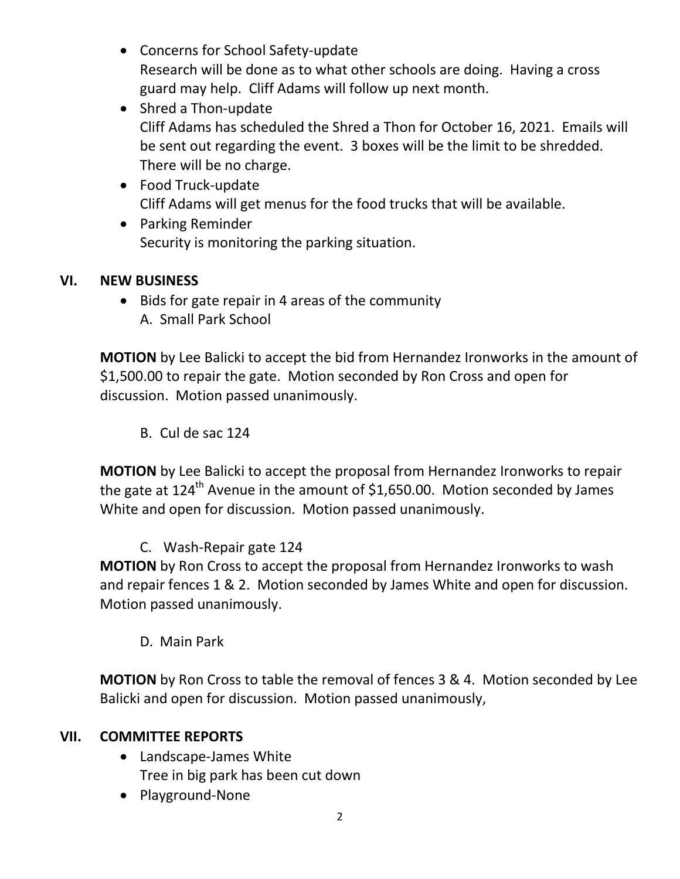- Concerns for School Safety-update Research will be done as to what other schools are doing. Having a cross guard may help. Cliff Adams will follow up next month.
- Shred a Thon-update Cliff Adams has scheduled the Shred a Thon for October 16, 2021. Emails will be sent out regarding the event. 3 boxes will be the limit to be shredded. There will be no charge.
- Food Truck-update Cliff Adams will get menus for the food trucks that will be available.
- Parking Reminder Security is monitoring the parking situation.

# **VI. NEW BUSINESS**

• Bids for gate repair in 4 areas of the community A. Small Park School

**MOTION** by Lee Balicki to accept the bid from Hernandez Ironworks in the amount of \$1,500.00 to repair the gate. Motion seconded by Ron Cross and open for discussion. Motion passed unanimously.

B. Cul de sac 124

**MOTION** by Lee Balicki to accept the proposal from Hernandez Ironworks to repair the gate at  $124^{\text{th}}$  Avenue in the amount of \$1,650.00. Motion seconded by James White and open for discussion. Motion passed unanimously.

# C. Wash-Repair gate 124

**MOTION** by Ron Cross to accept the proposal from Hernandez Ironworks to wash and repair fences 1 & 2. Motion seconded by James White and open for discussion. Motion passed unanimously.

D. Main Park

**MOTION** by Ron Cross to table the removal of fences 3 & 4. Motion seconded by Lee Balicki and open for discussion. Motion passed unanimously,

#### **VII. COMMITTEE REPORTS**

- Landscape-James White Tree in big park has been cut down
- Playground-None